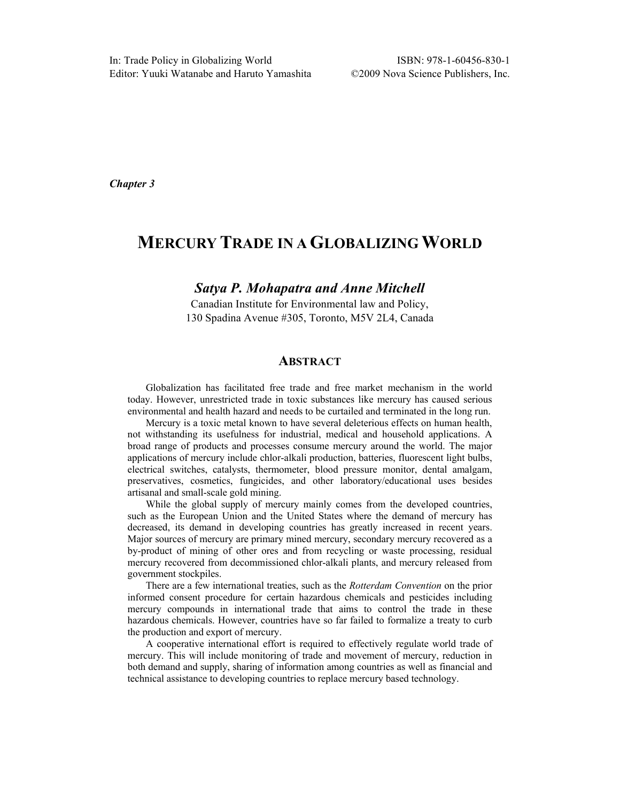**Chapter 3**

# **MERCURY TRADE IN AGLOBALIZINGWORLD**

## **Satya P. Mohapatra and Anne Mitchell**

Canadian Institute for Environmental law and Policy, 130 Spadina Avenue #305, Toronto, M5V 2L4, Canada

# **ABSTRACT**

Globalization has facilitated free trade and free market mechanism in the world today. However, unrestricted trade in toxic substances like mercury has caused serious environmental and health hazard and needs to be curtailed and terminated in the long run.

Mercury is a toxic metal known to have several deleterious effects on human health, not withstanding its usefulness for industrial, medical and household applications. A broad range of products and processes consume mercury around the world. The major applications of mercury include chlor-alkali production, batteries, fluorescent light bulbs, electrical switches, catalysts, thermometer, blood pressure monitor, dental amalgam, preservatives, cosmetics, fungicides, and other laboratory/educational uses besides artisanal and small-scale gold mining.

While the global supply of mercury mainly comes from the developed countries, such as the European Union and the United States where the demand of mercury has decreased, its demand in developing countries has greatly increased in recent years. Major sources of mercury are primary mined mercury, secondary mercury recovered as a by-product of mining of other ores and from recycling or waste processing, residual mercury recovered from decommissioned chlor-alkali plants, and mercury released from government stockpiles.

There are a few international treaties, such as the Rotterdam Convention on the prior informed consent procedure for certain hazardous chemicals and pesticides including mercury compounds in international trade that aims to control the trade in these hazardous chemicals. However, countries have so far failed to formalize a treaty to curb the production and export of mercury.

A cooperative international effort is required to effectively regulate world trade of mercury. This will include monitoring of trade and movement of mercury, reduction in both demand and supply, sharing of information among countries as well as financial and technical assistance to developing countries to replace mercury based technology.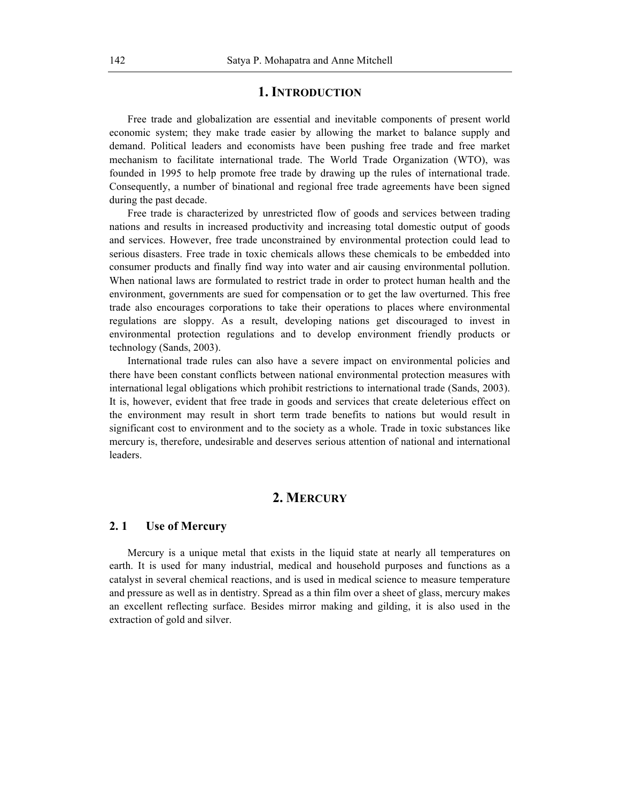# **1. INTRODUCTION**

Free trade and globalization are essential and inevitable components of present world economic system; they make trade easier by allowing the market to balance supply and demand. Political leaders and economists have been pushing free trade and free market mechanism to facilitate international trade. The World Trade Organization (WTO), was founded in 1995 to help promote free trade by drawing up the rules of international trade. Consequently, a number of binational and regional free trade agreements have been signed during the past decade.

Free trade is characterized by unrestricted flow of goods and services between trading nations and results in increased productivity and increasing total domestic output of goods and services. However, free trade unconstrained by environmental protection could lead to serious disasters. Free trade in toxic chemicals allows these chemicals to be embedded into consumer products and finally find way into water and air causing environmental pollution. When national laws are formulated to restrict trade in order to protect human health and the environment, governments are sued for compensation or to get the law overturned. This free trade also encourages corporations to take their operations to places where environmental regulations are sloppy. As a result, developing nations get discouraged to invest in environmental protection regulations and to develop environment friendly products or technology (Sands, 2003).

International trade rules can also have a severe impact on environmental policies and there have been constant conflicts between national environmental protection measures with international legal obligations which prohibit restrictions to international trade (Sands, 2003). It is, however, evident that free trade in goods and services that create deleterious effect on the environment may result in short term trade benefits to nations but would result in significant cost to environment and to the society as a whole. Trade in toxic substances like mercury is, therefore, undesirable and deserves serious attention of national and international leaders.

# **2. MERCURY**

#### **2. 1 Use of Mercury**

Mercury is a unique metal that exists in the liquid state at nearly all temperatures on earth. It is used for many industrial, medical and household purposes and functions as a catalyst in several chemical reactions, and is used in medical science to measure temperature and pressure as well as in dentistry. Spread as a thin film over a sheet of glass, mercury makes an excellent reflecting surface. Besides mirror making and gilding, it is also used in the extraction of gold and silver.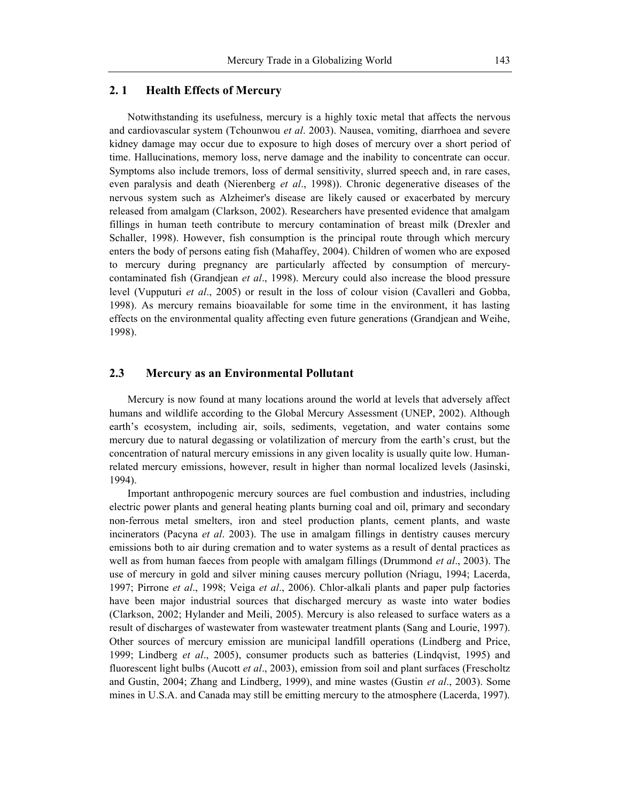## **2. 1 Health Effects of Mercury**

Notwithstanding its usefulness, mercury is a highly toxic metal that affects the nervous and cardiovascular system (Tchounwou et al. 2003). Nausea, vomiting, diarrhoea and severe kidney damage may occur due to exposure to high doses of mercury over a short period of time. Hallucinations, memory loss, nerve damage and the inability to concentrate can occur. Symptoms also include tremors, loss of dermal sensitivity, slurred speech and, in rare cases, even paralysis and death (Nierenberg et al., 1998)). Chronic degenerative diseases of the nervous system such as Alzheimer's disease are likely caused or exacerbated by mercury released from amalgam (Clarkson, 2002). Researchers have presented evidence that amalgam fillings in human teeth contribute to mercury contamination of breast milk (Drexler and Schaller, 1998). However, fish consumption is the principal route through which mercury enters the body of persons eating fish (Mahaffey, 2004). Children of women who are exposed to mercury during pregnancy are particularly affected by consumption of mercurycontaminated fish (Grandjean et al., 1998). Mercury could also increase the blood pressure level (Vupputuri et al., 2005) or result in the loss of colour vision (Cavalleri and Gobba, 1998). As mercury remains bioavailable for some time in the environment, it has lasting effects on the environmental quality affecting even future generations (Grandjean and Weihe, 1998).

# **2.3 Mercury as an Environmental Pollutant**

Mercury is now found at many locations around the world at levels that adversely affect humans and wildlife according to the Global Mercury Assessment (UNEP, 2002). Although earth's ecosystem, including air, soils, sediments, vegetation, and water contains some mercury due to natural degassing or volatilization of mercury from the earth's crust, but the concentration of natural mercury emissions in any given locality is usually quite low. Humanrelated mercury emissions, however, result in higher than normal localized levels (Jasinski, 1994).

Important anthropogenic mercury sources are fuel combustion and industries, including electric power plants and general heating plants burning coal and oil, primary and secondary non-ferrous metal smelters, iron and steel production plants, cement plants, and waste incinerators (Pacyna et al. 2003). The use in amalgam fillings in dentistry causes mercury emissions both to air during cremation and to water systems as a result of dental practices as well as from human faeces from people with amalgam fillings (Drummond *et al.*, 2003). The use of mercury in gold and silver mining causes mercury pollution (Nriagu, 1994; Lacerda, 1997; Pirrone et al., 1998; Veiga et al., 2006). Chlor-alkali plants and paper pulp factories have been major industrial sources that discharged mercury as waste into water bodies (Clarkson, 2002; Hylander and Meili, 2005). Mercury is also released to surface waters as a result of discharges of wastewater from wastewater treatment plants (Sang and Lourie, 1997). Other sources of mercury emission are municipal landfill operations (Lindberg and Price, 1999; Lindberg *et al.*, 2005), consumer products such as batteries (Lindqvist, 1995) and fluorescent light bulbs (Aucott et al., 2003), emission from soil and plant surfaces (Frescholtz and Gustin, 2004; Zhang and Lindberg, 1999), and mine wastes (Gustin et al., 2003). Some mines in U.S.A. and Canada may still be emitting mercury to the atmosphere (Lacerda, 1997).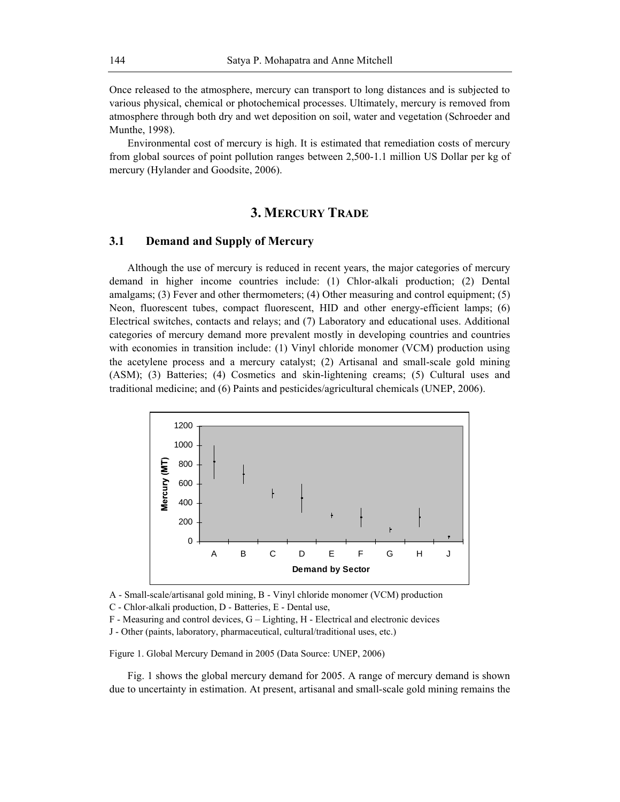Once released to the atmosphere, mercury can transport to long distances and is subjected to various physical, chemical or photochemical processes. Ultimately, mercury is removed from atmosphere through both dry and wet deposition on soil, water and vegetation (Schroeder and Munthe, 1998).

Environmental cost of mercury is high. It is estimated that remediation costs of mercury from global sources of point pollution ranges between 2,500-1.1 million US Dollar per kg of mercury (Hylander and Goodsite, 2006).

# **3. MERCURY TRADE**

### **3.1 Demand and Supply of Mercury**

Although the use of mercury is reduced in recent years, the major categories of mercury demand in higher income countries include: (1) Chlor-alkali production; (2) Dental amalgams; (3) Fever and other thermometers; (4) Other measuring and control equipment; (5) Neon, fluorescent tubes, compact fluorescent, HID and other energy-efficient lamps; (6) Electrical switches, contacts and relays; and (7) Laboratory and educational uses. Additional categories of mercury demand more prevalent mostly in developing countries and countries with economies in transition include: (1) Vinyl chloride monomer (VCM) production using the acetylene process and a mercury catalyst; (2) Artisanal and small-scale gold mining (ASM); (3) Batteries; (4) Cosmetics and skin-lightening creams; (5) Cultural uses and traditional medicine; and (6) Paints and pesticides/agricultural chemicals (UNEP, 2006).



A - Small-scale/artisanal gold mining, B - Vinyl chloride monomer (VCM) production

C - Chlor-alkali production, D - Batteries, E - Dental use,

 $F$  - Measuring and control devices,  $G -$  Lighting,  $H$  - Electrical and electronic devices

J - Other (paints, laboratory, pharmaceutical, cultural/traditional uses, etc.)

Figure 1. Global Mercury Demand in 2005 (Data Source: UNEP, 2006)

Fig. 1 shows the global mercury demand for 2005. A range of mercury demand is shown due to uncertainty in estimation. At present, artisanal and small-scale gold mining remains the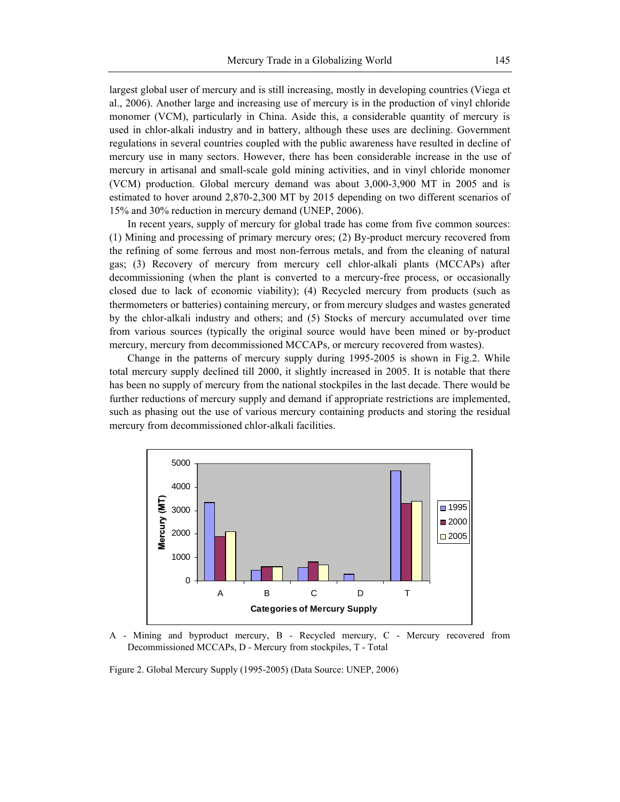largest global user of mercury and is still increasing, mostly in developing countries (Viega et al., 2006). Another large and increasing use of mercury is in the production of vinyl chloride monomer (VCM), particularly in China. Aside this, a considerable quantity of mercury is used in chlor-alkali industry and in battery, although these uses are declining. Government regulations in several countries coupled with the public awareness have resulted in decline of mercury use in many sectors. However, there has been considerable increase in the use of mercury in artisanal and small-scale gold mining activities, and in vinyl chloride monomer (VCM) production. Global mercury demand was about 3,000-3,900 MT in 2005 and is estimated to hover around 2,870-2,300 MT by 2015 depending on two different scenarios of 15% and 30% reduction in mercury demand (UNEP, 2006).

In recent years, supply of mercury for global trade has come from five common sources: (1) Mining and processing of primary mercury ores; (2) By-product mercury recovered from the refining of some ferrous and most non-ferrous metals, and from the cleaning of natural gas; (3) Recovery of mercury from mercury cell chlor-alkali plants (MCCAPs) after decommissioning (when the plant is converted to a mercury-free process, or occasionally closed due to lack of economic viability); (4) Recycled mercury from products (such as thermometers or batteries) containing mercury, or from mercury sludges and wastes generated by the chlor-alkali industry and others; and (5) Stocks of mercury accumulated over time from various sources (typically the original source would have been mined or by-product mercury, mercury from decommissioned MCCAPs, or mercury recovered from wastes).

Change in the patterns of mercury supply during 1995-2005 is shown in Fig.2. While total mercury supply declined till 2000, it slightly increased in 2005. It is notable that there has been no supply of mercury from the national stockpiles in the last decade. There would be further reductions of mercury supply and demand if appropriate restrictions are implemented, such as phasing out the use of various mercury containing products and storing the residual mercury from decommissioned chlor-alkali facilities.



A - Mining and byproduct mercury, B - Recycled mercury, C - Mercury recovered from Decommissioned MCCAPs, D - Mercury from stockpiles, T - Total

Figure 2. Global Mercury Supply (1995-2005) (Data Source: UNEP, 2006)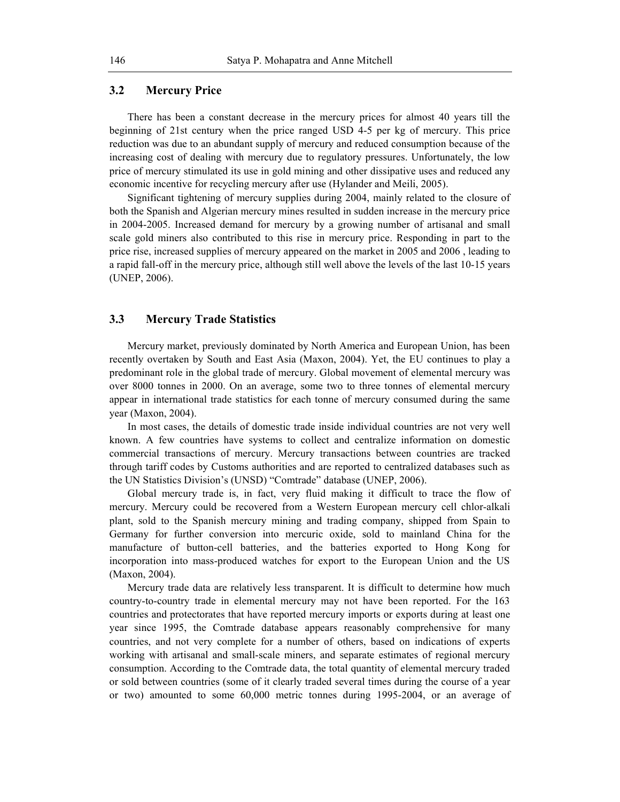# **3.2 Mercury Price**

There has been a constant decrease in the mercury prices for almost 40 years till the beginning of 21st century when the price ranged USD 4-5 per kg of mercury. This price reduction was due to an abundant supply of mercury and reduced consumption because of the increasing cost of dealing with mercury due to regulatory pressures. Unfortunately, the low price of mercury stimulated its use in gold mining and other dissipative uses and reduced any economic incentive for recycling mercury after use (Hylander and Meili, 2005).

Significant tightening of mercury supplies during 2004, mainly related to the closure of both the Spanish and Algerian mercury mines resulted in sudden increase in the mercury price in 2004-2005. Increased demand for mercury by a growing number of artisanal and small scale gold miners also contributed to this rise in mercury price. Responding in part to the price rise, increased supplies of mercury appeared on the market in 2005 and 2006 , leading to a rapid fall-off in the mercury price, although still well above the levels of the last 10-15 years (UNEP, 2006).

## **3.3 Mercury Trade Statistics**

Mercury market, previously dominated by North America and European Union, has been recently overtaken by South and East Asia (Maxon, 2004). Yet, the EU continues to play a predominant role in the global trade of mercury. Global movement of elemental mercury was over 8000 tonnes in 2000. On an average, some two to three tonnes of elemental mercury appear in international trade statistics for each tonne of mercury consumed during the same year (Maxon, 2004).

In most cases, the details of domestic trade inside individual countries are not very well known. A few countries have systems to collect and centralize information on domestic commercial transactions of mercury. Mercury transactions between countries are tracked through tariff codes by Customs authorities and are reported to centralized databases such as the UN Statistics Division's (UNSD) "Comtrade" database (UNEP, 2006).

Global mercury trade is, in fact, very fluid making it difficult to trace the flow of mercury. Mercury could be recovered from a Western European mercury cell chlor-alkali plant, sold to the Spanish mercury mining and trading company, shipped from Spain to Germany for further conversion into mercuric oxide, sold to mainland China for the manufacture of button-cell batteries, and the batteries exported to Hong Kong for incorporation into mass-produced watches for export to the European Union and the US (Maxon, 2004).

Mercury trade data are relatively less transparent. It is difficult to determine how much country-to-country trade in elemental mercury may not have been reported. For the 163 countries and protectorates that have reported mercury imports or exports during at least one year since 1995, the Comtrade database appears reasonably comprehensive for many countries, and not very complete for a number of others, based on indications of experts working with artisanal and small-scale miners, and separate estimates of regional mercury consumption. According to the Comtrade data, the total quantity of elemental mercury traded or sold between countries (some of it clearly traded several times during the course of a year or two) amounted to some 60,000 metric tonnes during 1995-2004, or an average of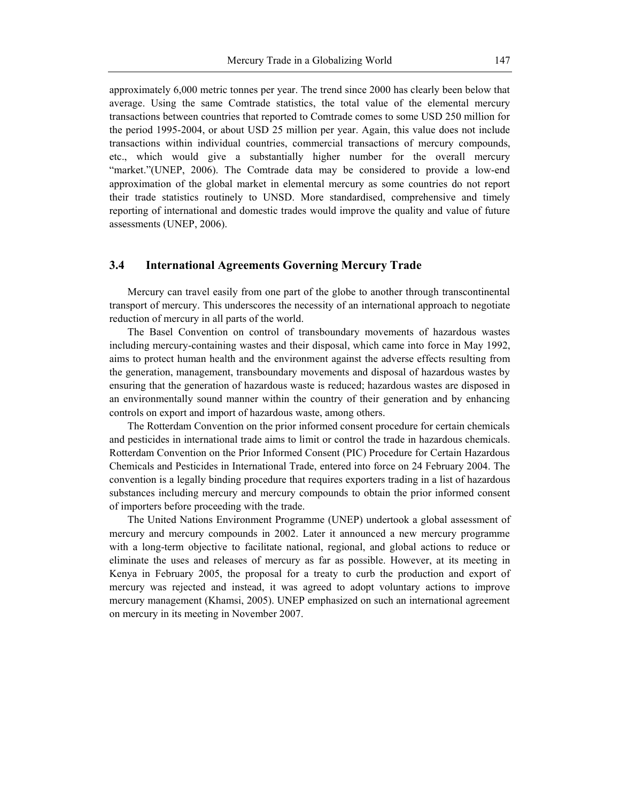approximately 6,000 metric tonnes per year. The trend since 2000 has clearly been below that average. Using the same Comtrade statistics, the total value of the elemental mercury transactions between countries that reported to Comtrade comes to some USD 250 million for the period 1995-2004, or about USD 25 million per year. Again, this value does not include transactions within individual countries, commercial transactions of mercury compounds, etc., which would give a substantially higher number for the overall mercury "market."(UNEP, 2006). The Comtrade data may be considered to provide a low-end approximation of the global market in elemental mercury as some countries do not report their trade statistics routinely to UNSD. More standardised, comprehensive and timely reporting of international and domestic trades would improve the quality and value of future assessments (UNEP, 2006).

#### **3.4 International Agreements Governing Mercury Trade**

Mercury can travel easily from one part of the globe to another through transcontinental transport of mercury. This underscores the necessity of an international approach to negotiate reduction of mercury in all parts of the world.

The Basel Convention on control of transboundary movements of hazardous wastes including mercury-containing wastes and their disposal, which came into force in May 1992, aims to protect human health and the environment against the adverse effects resulting from the generation, management, transboundary movements and disposal of hazardous wastes by ensuring that the generation of hazardous waste is reduced; hazardous wastes are disposed in an environmentally sound manner within the country of their generation and by enhancing controls on export and import of hazardous waste, among others.

The Rotterdam Convention on the prior informed consent procedure for certain chemicals and pesticides in international trade aims to limit or control the trade in hazardous chemicals. Rotterdam Convention on the Prior Informed Consent (PIC) Procedure for Certain Hazardous Chemicals and Pesticides in International Trade, entered into force on 24 February 2004. The convention is a legally binding procedure that requires exporters trading in a list of hazardous substances including mercury and mercury compounds to obtain the prior informed consent of importers before proceeding with the trade.

The United Nations Environment Programme (UNEP) undertook a global assessment of mercury and mercury compounds in 2002. Later it announced a new mercury programme with a long-term objective to facilitate national, regional, and global actions to reduce or eliminate the uses and releases of mercury as far as possible. However, at its meeting in Kenya in February 2005, the proposal for a treaty to curb the production and export of mercury was rejected and instead, it was agreed to adopt voluntary actions to improve mercury management (Khamsi, 2005). UNEP emphasized on such an international agreement on mercury in its meeting in November 2007.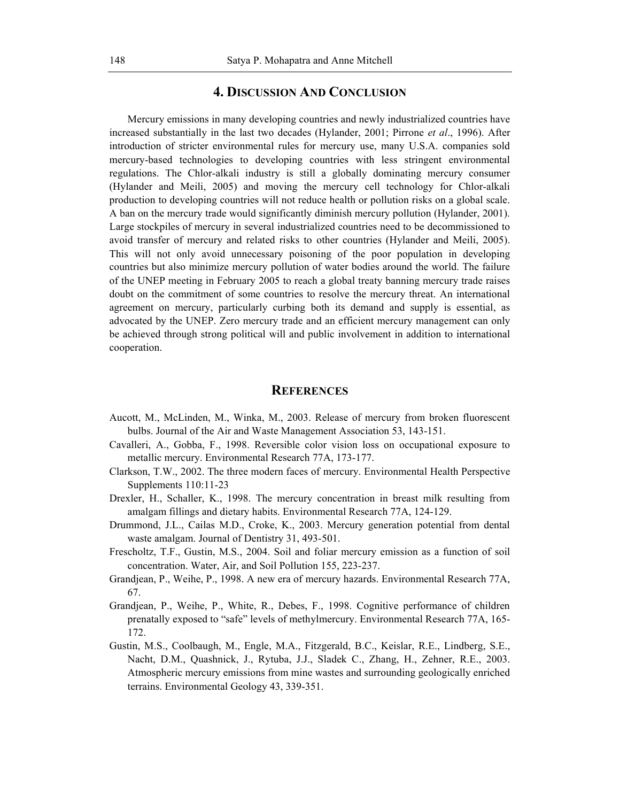# **4. DISCUSSION AND CONCLUSION**

Mercury emissions in many developing countries and newly industrialized countries have increased substantially in the last two decades (Hylander, 2001; Pirrone et al., 1996). After introduction of stricter environmental rules for mercury use, many U.S.A. companies sold mercury-based technologies to developing countries with less stringent environmental regulations. The Chlor-alkali industry is still a globally dominating mercury consumer (Hylander and Meili, 2005) and moving the mercury cell technology for Chlor-alkali production to developing countries will not reduce health or pollution risks on a global scale. A ban on the mercury trade would significantly diminish mercury pollution (Hylander, 2001). Large stockpiles of mercury in several industrialized countries need to be decommissioned to avoid transfer of mercury and related risks to other countries (Hylander and Meili, 2005). This will not only avoid unnecessary poisoning of the poor population in developing countries but also minimize mercury pollution of water bodies around the world. The failure of the UNEP meeting in February 2005 to reach a global treaty banning mercury trade raises doubt on the commitment of some countries to resolve the mercury threat. An international agreement on mercury, particularly curbing both its demand and supply is essential, as advocated by the UNEP. Zero mercury trade and an efficient mercury management can only be achieved through strong political will and public involvement in addition to international cooperation.

### **REFERENCES**

- Aucott, M., McLinden, M., Winka, M., 2003. Release of mercury from broken fluorescent bulbs. Journal of the Air and Waste Management Association 53, 143-151.
- Cavalleri, A., Gobba, F., 1998. Reversible color vision loss on occupational exposure to metallic mercury. Environmental Research 77A, 173-177.
- Clarkson, T.W., 2002. The three modern faces of mercury. Environmental Health Perspective Supplements 110:11-23
- Drexler, H., Schaller, K., 1998. The mercury concentration in breast milk resulting from amalgam fillings and dietary habits. Environmental Research 77A, 124-129.
- Drummond, J.L., Cailas M.D., Croke, K., 2003. Mercury generation potential from dental waste amalgam. Journal of Dentistry 31, 493-501.
- Frescholtz, T.F., Gustin, M.S., 2004. Soil and foliar mercury emission as a function of soil concentration. Water, Air, and Soil Pollution 155, 223-237.
- Grandjean, P., Weihe, P., 1998. A new era of mercury hazards. Environmental Research 77A, 67.
- Grandjean, P., Weihe, P., White, R., Debes, F., 1998. Cognitive performance of children prenatally exposed to "safe" levels of methylmercury. Environmental Research 77A, 165-172.
- Gustin, M.S., Coolbaugh, M., Engle, M.A., Fitzgerald, B.C., Keislar, R.E., Lindberg, S.E., Nacht, D.M., Quashnick, J., Rytuba, J.J., Sladek C., Zhang, H., Zehner, R.E., 2003. Atmospheric mercury emissions from mine wastes and surrounding geologically enriched terrains. Environmental Geology 43, 339-351.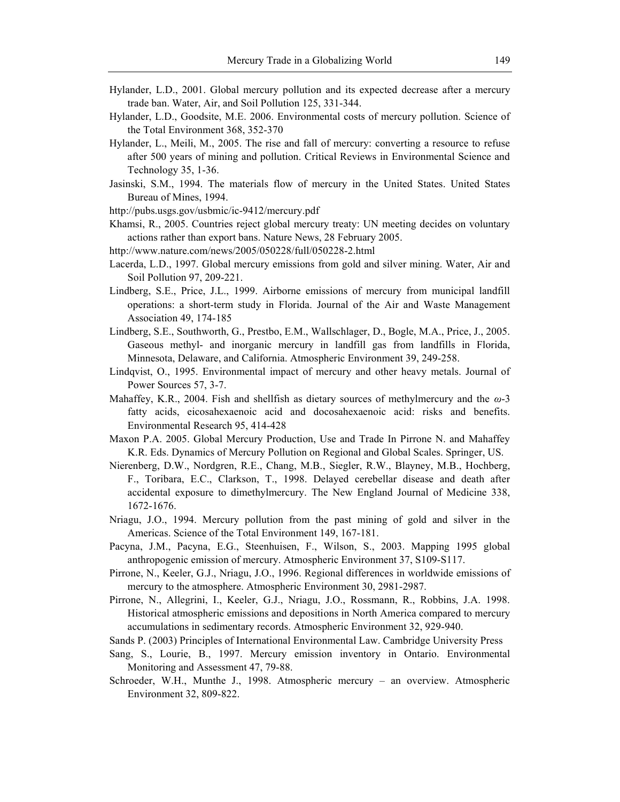- Hylander, L.D., 2001. Glob**al amedroius ye xegacethoeutabeisch**e dafter a mercury trade ban. Water, Air, and Soil Pollution 125, 331-344.
- Hylander, L.D., Goodsite, M.E. 2006. Environmental costs of mercu the Total Environment 368, 352-370
- Hylander, L., Meili, M., 2005. The rise and fall of mercury: conver after 500 years of mining and pollution. Critical Reviews in Env Technology 35, 1-36.
- Jasinski, S.M., 1994. The materials flow of mercury in the Unite Bureau of Mines, 1994.

[http://pubs.usgs.gov/usbmic](http://pubs.usgs.gov/usbmic/ic-9412/mercury.pdf)/ic-9412/mercury.pdf

Khamsi, R., 2005. Countries reject global mercury treaty: UN meet actions rather than export bans. Nature News, 28 February 2005. [http://www.nature.com/news/2005/0](http://www.nature.com/news/2005/050228/full/050228-2.html)50228/full/050228-2.html

- Lacerda, L.D., 1997. Global fmo em cguorlyd eannids ssiiol wisr mining. Water, Air Soil Pollution 97, 209-221.
- Lindberg, S.E., Price, J.L., 1999. Airborne emissions of mercury operations: a short-term Jsotuurchyalino fFltohreidAair and Waste Managem Association 49, 174-185

Lindberg, S.E., Southworth, Gls, c Pressebo, DE, MB o, g Wea M.A., Price, J., Gaseous methyl- and inorganic mercury in landfill gas from Minnesota, Delaware, and California. Atmospheric Environment 3

Lindqvist, O., 1995. Environmental impact of mercury and other h Power Sources 57, 3-7.

Mahaffey, K.R., 2004. Fish and shellfish as dietary-3sources of me fatty acids, eicosahexaenoic acid and docosahexaenoic acid: Environmental Research 95, 414-428

Maxon P.A. 2005. Global Mercury Production, Use and Trade In Pi K.R. Eds. Dynamics of Mercury Pollution on Regional and Global

- Nierenberg, D.W., Nordgren,, BS.iEg, eCthaRn.g.W.M.EBlayney, M.B., Hochbe F., Toribara, E.C., Clarkson, T., 1998. Delayed cerebellar dis accidental exposure to dimethylmercury. The New England Jour 1672-1676.
- Nriagu, J.O., 1994. Mercury pollution from the past mining of g Americas. Science of the Total Environment 149, 167-181.

Pacyna, J.M., Pacyna, E.G., Steenhuisen, F., Wilson, S., 2003. anthropogenic emission of mercury. Atmospheric Environment 37,

Pirrone, N., Keeler, G.J., Ngiagal difJe,rodo2Ge3swiRde emissions of mercury to the atmosphere. Atmospheric Environment 30, 2981-29

Pirrone, N., Allegrini, I., Keeler, G.J., Nriagu, J.O., Rossmann, Historical atmospheric emississions Naonrolhd As proesticia compared to mercury accumulations in sedimentary records. Atmospheric Environment

Sands P. (2003) Principles of International Environmental Law. Can Sang, S., Lourie, B., 1997. Mercury emission inventory in On Monitoring and Assessment 47, 79-88.

Schroeder, W.H., Munthe J., 1998. Atmospheric mercury - an ov Environment 32, 809-822.